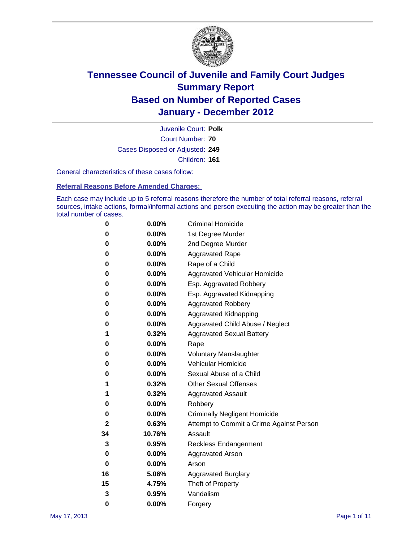

Court Number: **70** Juvenile Court: **Polk** Cases Disposed or Adjusted: **249** Children: **161**

General characteristics of these cases follow:

**Referral Reasons Before Amended Charges:** 

Each case may include up to 5 referral reasons therefore the number of total referral reasons, referral sources, intake actions, formal/informal actions and person executing the action may be greater than the total number of cases.

| 0  | 0.00%    | <b>Criminal Homicide</b>                 |
|----|----------|------------------------------------------|
| 0  | 0.00%    | 1st Degree Murder                        |
| 0  | 0.00%    | 2nd Degree Murder                        |
| 0  | 0.00%    | <b>Aggravated Rape</b>                   |
| 0  | 0.00%    | Rape of a Child                          |
| 0  | 0.00%    | Aggravated Vehicular Homicide            |
| 0  | 0.00%    | Esp. Aggravated Robbery                  |
| 0  | 0.00%    | Esp. Aggravated Kidnapping               |
| 0  | 0.00%    | <b>Aggravated Robbery</b>                |
| 0  | 0.00%    | Aggravated Kidnapping                    |
| 0  | 0.00%    | Aggravated Child Abuse / Neglect         |
| 1  | 0.32%    | <b>Aggravated Sexual Battery</b>         |
| 0  | 0.00%    | Rape                                     |
| 0  | 0.00%    | <b>Voluntary Manslaughter</b>            |
| 0  | 0.00%    | Vehicular Homicide                       |
| 0  | 0.00%    | Sexual Abuse of a Child                  |
| 1  | 0.32%    | <b>Other Sexual Offenses</b>             |
| 1  | 0.32%    | <b>Aggravated Assault</b>                |
| 0  | $0.00\%$ | Robbery                                  |
| 0  | 0.00%    | <b>Criminally Negligent Homicide</b>     |
| 2  | 0.63%    | Attempt to Commit a Crime Against Person |
| 34 | 10.76%   | Assault                                  |
| 3  | 0.95%    | <b>Reckless Endangerment</b>             |
| 0  | 0.00%    | <b>Aggravated Arson</b>                  |
| 0  | 0.00%    | Arson                                    |
| 16 | 5.06%    | <b>Aggravated Burglary</b>               |
| 15 | 4.75%    | Theft of Property                        |
| 3  | 0.95%    | Vandalism                                |
| 0  | 0.00%    | Forgery                                  |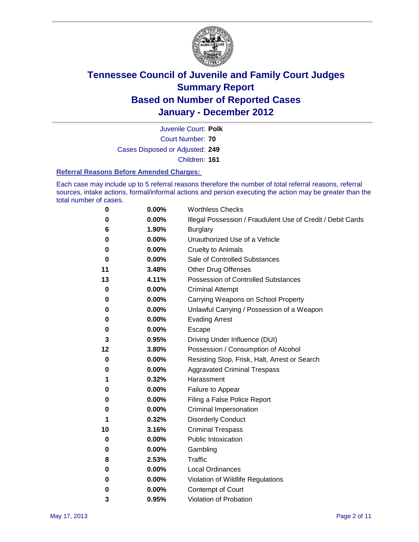

Court Number: **70** Juvenile Court: **Polk** Cases Disposed or Adjusted: **249** Children: **161**

#### **Referral Reasons Before Amended Charges:**

Each case may include up to 5 referral reasons therefore the number of total referral reasons, referral sources, intake actions, formal/informal actions and person executing the action may be greater than the total number of cases.

| 0        | 0.00% | <b>Worthless Checks</b>                                     |
|----------|-------|-------------------------------------------------------------|
| 0        | 0.00% | Illegal Possession / Fraudulent Use of Credit / Debit Cards |
| 6        | 1.90% | <b>Burglary</b>                                             |
| 0        | 0.00% | Unauthorized Use of a Vehicle                               |
| 0        | 0.00% | <b>Cruelty to Animals</b>                                   |
| $\bf{0}$ | 0.00% | Sale of Controlled Substances                               |
| 11       | 3.48% | <b>Other Drug Offenses</b>                                  |
| 13       | 4.11% | Possession of Controlled Substances                         |
| $\bf{0}$ | 0.00% | <b>Criminal Attempt</b>                                     |
| 0        | 0.00% | Carrying Weapons on School Property                         |
| 0        | 0.00% | Unlawful Carrying / Possession of a Weapon                  |
| 0        | 0.00% | <b>Evading Arrest</b>                                       |
| 0        | 0.00% | Escape                                                      |
| 3        | 0.95% | Driving Under Influence (DUI)                               |
| 12       | 3.80% | Possession / Consumption of Alcohol                         |
| 0        | 0.00% | Resisting Stop, Frisk, Halt, Arrest or Search               |
| 0        | 0.00% | <b>Aggravated Criminal Trespass</b>                         |
| 1        | 0.32% | Harassment                                                  |
| 0        | 0.00% | Failure to Appear                                           |
| 0        | 0.00% | Filing a False Police Report                                |
| 0        | 0.00% | Criminal Impersonation                                      |
| 1        | 0.32% | <b>Disorderly Conduct</b>                                   |
| 10       | 3.16% | <b>Criminal Trespass</b>                                    |
| 0        | 0.00% | <b>Public Intoxication</b>                                  |
| 0        | 0.00% | Gambling                                                    |
| 8        | 2.53% | Traffic                                                     |
| 0        | 0.00% | <b>Local Ordinances</b>                                     |
| 0        | 0.00% | Violation of Wildlife Regulations                           |
| 0        | 0.00% | Contempt of Court                                           |
| 3        | 0.95% | Violation of Probation                                      |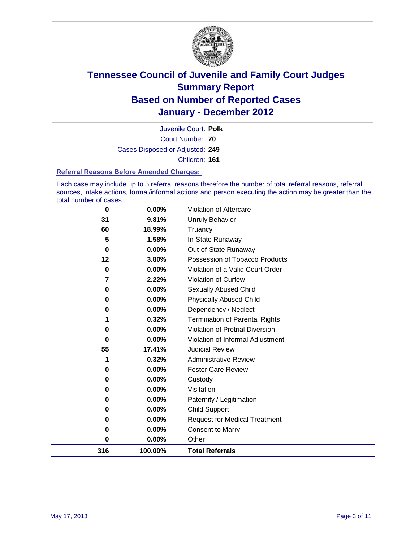

Court Number: **70** Juvenile Court: **Polk** Cases Disposed or Adjusted: **249** Children: **161**

#### **Referral Reasons Before Amended Charges:**

Each case may include up to 5 referral reasons therefore the number of total referral reasons, referral sources, intake actions, formal/informal actions and person executing the action may be greater than the total number of cases.

| 316      | 100.00%         | <b>Total Referrals</b>                 |
|----------|-----------------|----------------------------------------|
| $\bf{0}$ | 0.00%           | Other                                  |
| 0        | 0.00%           | <b>Consent to Marry</b>                |
| 0        | 0.00%           | <b>Request for Medical Treatment</b>   |
| $\bf{0}$ | 0.00%           | <b>Child Support</b>                   |
| 0        | 0.00%           | Paternity / Legitimation               |
| 0        | 0.00%           | Visitation                             |
| $\bf{0}$ | 0.00%           | Custody                                |
| 0        | 0.00%           | <b>Foster Care Review</b>              |
| 1        | 0.32%           | <b>Administrative Review</b>           |
| 55       | 17.41%          | <b>Judicial Review</b>                 |
| 0        | 0.00%           | Violation of Informal Adjustment       |
| 0        | 0.00%           | <b>Violation of Pretrial Diversion</b> |
|          | 0.32%           | <b>Termination of Parental Rights</b>  |
| 0        | 0.00%           | Dependency / Neglect                   |
| $\bf{0}$ | 0.00%           | <b>Physically Abused Child</b>         |
| 0        | 0.00%           | Sexually Abused Child                  |
| 7        | 2.22%           | Violation of Curfew                    |
| $\bf{0}$ | $0.00\%$        | Violation of a Valid Court Order       |
| 12       | 3.80%           | Possession of Tobacco Products         |
| $\bf{0}$ | $0.00\%$        | Out-of-State Runaway                   |
| 60<br>5  | 18.99%<br>1.58% | Truancy<br>In-State Runaway            |
| 31       | 9.81%           | <b>Unruly Behavior</b>                 |
|          |                 |                                        |
| 0        | 0.00%           | Violation of Aftercare                 |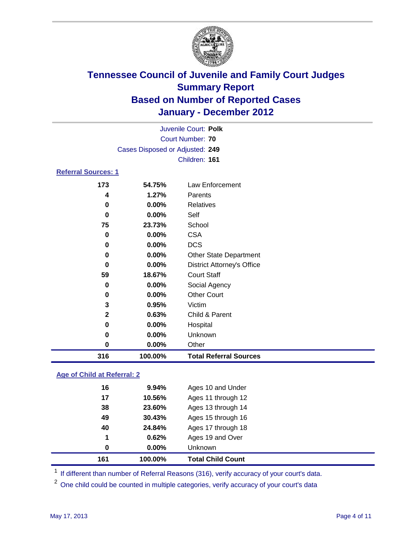

|                            | Juvenile Court: Polk            |                                   |  |
|----------------------------|---------------------------------|-----------------------------------|--|
|                            | Court Number: 70                |                                   |  |
|                            | Cases Disposed or Adjusted: 249 |                                   |  |
|                            |                                 | Children: 161                     |  |
| <b>Referral Sources: 1</b> |                                 |                                   |  |
| 173                        | 54.75%                          | Law Enforcement                   |  |
| 4                          | 1.27%                           | Parents                           |  |
| 0                          | 0.00%                           | <b>Relatives</b>                  |  |
| 0                          | 0.00%                           | Self                              |  |
| 75                         | 23.73%                          | School                            |  |
| 0                          | $0.00\%$                        | <b>CSA</b>                        |  |
| 0                          | $0.00\%$                        | <b>DCS</b>                        |  |
| 0                          | 0.00%                           | <b>Other State Department</b>     |  |
| 0                          | 0.00%                           | <b>District Attorney's Office</b> |  |
| 59                         | 18.67%                          | <b>Court Staff</b>                |  |
| $\mathbf 0$                | $0.00\%$                        | Social Agency                     |  |
| 0                          | 0.00%                           | <b>Other Court</b>                |  |
| 3                          | 0.95%                           | Victim                            |  |
| $\mathbf{2}$               | 0.63%                           | Child & Parent                    |  |
| 0                          | 0.00%                           | Hospital                          |  |
| 0                          | 0.00%                           | Unknown                           |  |
| $\bf{0}$                   | 0.00%                           | Other                             |  |
| 316                        | 100.00%                         | <b>Total Referral Sources</b>     |  |
|                            |                                 |                                   |  |

### **Age of Child at Referral: 2**

| 161 | 100.00%  | <b>Total Child Count</b> |
|-----|----------|--------------------------|
| 0   | $0.00\%$ | <b>Unknown</b>           |
| 1   | 0.62%    | Ages 19 and Over         |
| 40  | 24.84%   | Ages 17 through 18       |
| 49  | 30.43%   | Ages 15 through 16       |
| 38  | 23.60%   | Ages 13 through 14       |
| 17  | 10.56%   | Ages 11 through 12       |
| 16  | 9.94%    | Ages 10 and Under        |
|     |          |                          |

<sup>1</sup> If different than number of Referral Reasons (316), verify accuracy of your court's data.

<sup>2</sup> One child could be counted in multiple categories, verify accuracy of your court's data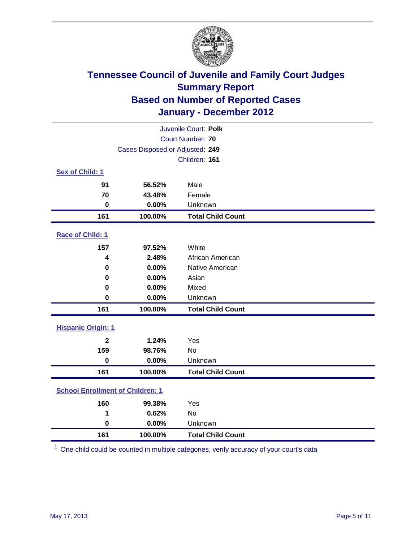

| Juvenile Court: Polk                    |                                 |                          |  |  |
|-----------------------------------------|---------------------------------|--------------------------|--|--|
| Court Number: 70                        |                                 |                          |  |  |
|                                         | Cases Disposed or Adjusted: 249 |                          |  |  |
|                                         |                                 | Children: 161            |  |  |
| Sex of Child: 1                         |                                 |                          |  |  |
| 91                                      | 56.52%                          | Male                     |  |  |
| 70                                      | 43.48%                          | Female                   |  |  |
| $\mathbf 0$                             | 0.00%                           | Unknown                  |  |  |
| 161                                     | 100.00%                         | <b>Total Child Count</b> |  |  |
| Race of Child: 1                        |                                 |                          |  |  |
| 157                                     | 97.52%                          | White                    |  |  |
| 4                                       | 2.48%                           | African American         |  |  |
| 0                                       | 0.00%                           | Native American          |  |  |
| $\mathbf 0$                             | 0.00%                           | Asian                    |  |  |
| 0                                       | 0.00%                           | Mixed                    |  |  |
| $\mathbf 0$                             | 0.00%                           | Unknown                  |  |  |
| 161                                     | 100.00%                         | <b>Total Child Count</b> |  |  |
| <b>Hispanic Origin: 1</b>               |                                 |                          |  |  |
| $\overline{2}$                          | 1.24%                           | Yes                      |  |  |
| 159                                     | 98.76%                          | <b>No</b>                |  |  |
| $\mathbf 0$                             | 0.00%                           | Unknown                  |  |  |
| 161                                     | 100.00%                         | <b>Total Child Count</b> |  |  |
| <b>School Enrollment of Children: 1</b> |                                 |                          |  |  |
| 160                                     | 99.38%                          | Yes                      |  |  |
| 1                                       | 0.62%                           | No                       |  |  |
| $\mathbf 0$                             | 0.00%                           | Unknown                  |  |  |
| 161                                     | 100.00%                         | <b>Total Child Count</b> |  |  |

One child could be counted in multiple categories, verify accuracy of your court's data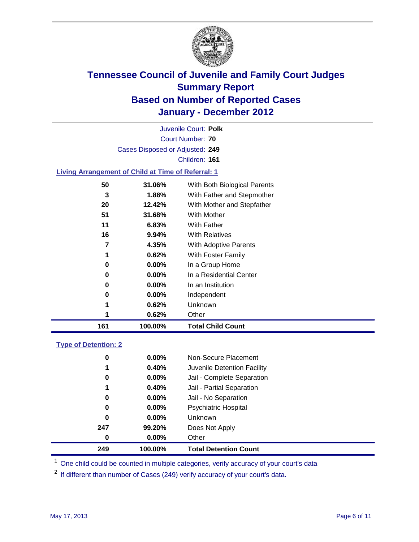

Court Number: **70** Juvenile Court: **Polk** Cases Disposed or Adjusted: **249** Children: **161**

### **Living Arrangement of Child at Time of Referral: 1**

| 161 | 100.00%  | <b>Total Child Count</b>     |
|-----|----------|------------------------------|
| 1   | 0.62%    | Other                        |
| 1   | 0.62%    | Unknown                      |
| 0   | $0.00\%$ | Independent                  |
| 0   | $0.00\%$ | In an Institution            |
| 0   | $0.00\%$ | In a Residential Center      |
| 0   | $0.00\%$ | In a Group Home              |
| 1   | 0.62%    | With Foster Family           |
| 7   | 4.35%    | With Adoptive Parents        |
| 16  | $9.94\%$ | <b>With Relatives</b>        |
| 11  | 6.83%    | With Father                  |
| 51  | 31.68%   | With Mother                  |
| 20  | 12.42%   | With Mother and Stepfather   |
| 3   | 1.86%    | With Father and Stepmother   |
| 50  | 31.06%   | With Both Biological Parents |
|     |          |                              |

### **Type of Detention: 2**

| 249 | 100.00%  | <b>Total Detention Count</b> |  |
|-----|----------|------------------------------|--|
| 0   | $0.00\%$ | Other                        |  |
| 247 | 99.20%   | Does Not Apply               |  |
| 0   | $0.00\%$ | Unknown                      |  |
| 0   | 0.00%    | <b>Psychiatric Hospital</b>  |  |
| 0   | 0.00%    | Jail - No Separation         |  |
| 1   | 0.40%    | Jail - Partial Separation    |  |
| 0   | $0.00\%$ | Jail - Complete Separation   |  |
| 1   | 0.40%    | Juvenile Detention Facility  |  |
| 0   | $0.00\%$ | Non-Secure Placement         |  |
|     |          |                              |  |

<sup>1</sup> One child could be counted in multiple categories, verify accuracy of your court's data

<sup>2</sup> If different than number of Cases (249) verify accuracy of your court's data.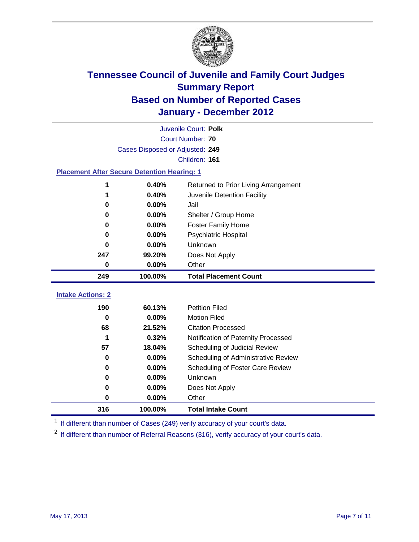

|                          | Juvenile Court: Polk                               |                                      |  |  |  |
|--------------------------|----------------------------------------------------|--------------------------------------|--|--|--|
|                          | <b>Court Number: 70</b>                            |                                      |  |  |  |
|                          | Cases Disposed or Adjusted: 249                    |                                      |  |  |  |
|                          |                                                    | Children: 161                        |  |  |  |
|                          | <b>Placement After Secure Detention Hearing: 1</b> |                                      |  |  |  |
| 1                        | 0.40%                                              | Returned to Prior Living Arrangement |  |  |  |
| 1                        | 0.40%                                              | Juvenile Detention Facility          |  |  |  |
| 0                        | 0.00%                                              | Jail                                 |  |  |  |
| $\bf{0}$                 | 0.00%                                              | Shelter / Group Home                 |  |  |  |
| 0                        | 0.00%                                              | <b>Foster Family Home</b>            |  |  |  |
| 0                        | 0.00%                                              | Psychiatric Hospital                 |  |  |  |
| 0                        | 0.00%                                              | Unknown                              |  |  |  |
| 247                      | 99.20%                                             | Does Not Apply                       |  |  |  |
| $\mathbf 0$              | 0.00%                                              | Other                                |  |  |  |
|                          |                                                    |                                      |  |  |  |
| 249                      | 100.00%                                            | <b>Total Placement Count</b>         |  |  |  |
| <b>Intake Actions: 2</b> |                                                    |                                      |  |  |  |
| 190                      | 60.13%                                             | <b>Petition Filed</b>                |  |  |  |
| $\bf{0}$                 | 0.00%                                              | <b>Motion Filed</b>                  |  |  |  |
| 68                       | 21.52%                                             | <b>Citation Processed</b>            |  |  |  |
| 1                        | 0.32%                                              | Notification of Paternity Processed  |  |  |  |
| 57                       | 18.04%                                             | Scheduling of Judicial Review        |  |  |  |
| 0                        | 0.00%                                              | Scheduling of Administrative Review  |  |  |  |
| 0                        | 0.00%                                              | Scheduling of Foster Care Review     |  |  |  |
| 0                        | 0.00%                                              | Unknown                              |  |  |  |
| 0                        | 0.00%                                              | Does Not Apply                       |  |  |  |

<sup>1</sup> If different than number of Cases (249) verify accuracy of your court's data.

**100.00% Total Intake Count**

<sup>2</sup> If different than number of Referral Reasons (316), verify accuracy of your court's data.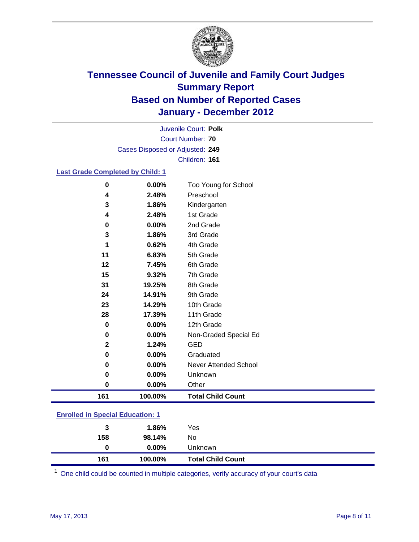

Court Number: **70** Juvenile Court: **Polk** Cases Disposed or Adjusted: **249** Children: **161**

### **Last Grade Completed by Child: 1**

| 161         | 100.00%        | <b>Total Child Count</b>          |  |
|-------------|----------------|-----------------------------------|--|
| $\bf{0}$    | 0.00%          | Other                             |  |
| 0           | 0.00%          | Unknown                           |  |
| 0           | 0.00%          | <b>Never Attended School</b>      |  |
| 0           | 0.00%          | Graduated                         |  |
| $\mathbf 2$ | 1.24%          | <b>GED</b>                        |  |
| $\mathbf 0$ | 0.00%          | Non-Graded Special Ed             |  |
| 0           | $0.00\%$       | 12th Grade                        |  |
| 28          | 17.39%         | 11th Grade                        |  |
| 23          | 14.29%         | 10th Grade                        |  |
| 24          | 14.91%         | 9th Grade                         |  |
| 31          | 19.25%         | 8th Grade                         |  |
| 15          | 9.32%          | 7th Grade                         |  |
| 12          | 7.45%          | 6th Grade                         |  |
| 11          | 6.83%          | 5th Grade                         |  |
| 1           | 0.62%          | 4th Grade                         |  |
| 3           | 1.86%          | 3rd Grade                         |  |
| 0           | 0.00%          | 2nd Grade                         |  |
| 4           | 2.48%          | 1st Grade                         |  |
| 3           | 1.86%          | Kindergarten                      |  |
| 0<br>4      | 0.00%<br>2.48% | Too Young for School<br>Preschool |  |

### **Enrolled in Special Education: 1**

| 161 | 100.00%  | <b>Total Child Count</b> |  |
|-----|----------|--------------------------|--|
| 0   | $0.00\%$ | Unknown                  |  |
| 158 | 98.14%   | No                       |  |
| 3   | 1.86%    | Yes                      |  |
|     |          |                          |  |

One child could be counted in multiple categories, verify accuracy of your court's data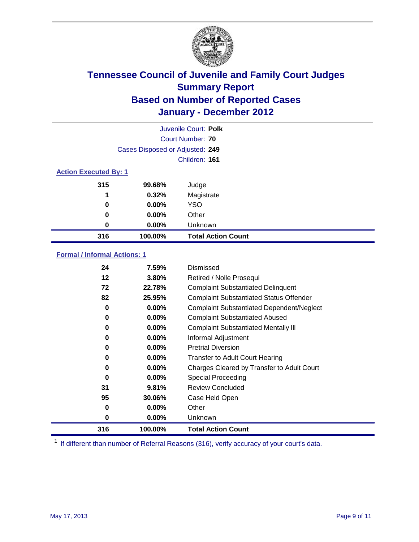

|                              | Juvenile Court: Polk            |                           |  |  |
|------------------------------|---------------------------------|---------------------------|--|--|
|                              |                                 | Court Number: 70          |  |  |
|                              | Cases Disposed or Adjusted: 249 |                           |  |  |
|                              |                                 | Children: 161             |  |  |
| <b>Action Executed By: 1</b> |                                 |                           |  |  |
| 315                          | 99.68%                          | Judge                     |  |  |
| 1                            | 0.32%                           | Magistrate                |  |  |
| 0                            | 0.00%                           | <b>YSO</b>                |  |  |
| 0                            | 0.00%                           | Other                     |  |  |
| 0                            | 0.00%                           | Unknown                   |  |  |
| 316                          | 100.00%                         | <b>Total Action Count</b> |  |  |

### **Formal / Informal Actions: 1**

| 24  | 7.59%    | Dismissed                                        |
|-----|----------|--------------------------------------------------|
| 12  | 3.80%    | Retired / Nolle Prosequi                         |
| 72  | 22.78%   | <b>Complaint Substantiated Delinquent</b>        |
| 82  | 25.95%   | <b>Complaint Substantiated Status Offender</b>   |
| 0   | 0.00%    | <b>Complaint Substantiated Dependent/Neglect</b> |
| 0   | 0.00%    | <b>Complaint Substantiated Abused</b>            |
| 0   | $0.00\%$ | <b>Complaint Substantiated Mentally III</b>      |
| 0   | $0.00\%$ | Informal Adjustment                              |
| 0   | $0.00\%$ | <b>Pretrial Diversion</b>                        |
| 0   | 0.00%    | <b>Transfer to Adult Court Hearing</b>           |
| 0   | $0.00\%$ | Charges Cleared by Transfer to Adult Court       |
| 0   | $0.00\%$ | Special Proceeding                               |
| 31  | 9.81%    | <b>Review Concluded</b>                          |
| 95  | 30.06%   | Case Held Open                                   |
| 0   | $0.00\%$ | Other                                            |
| 0   | $0.00\%$ | Unknown                                          |
| 316 | 100.00%  | <b>Total Action Count</b>                        |

<sup>1</sup> If different than number of Referral Reasons (316), verify accuracy of your court's data.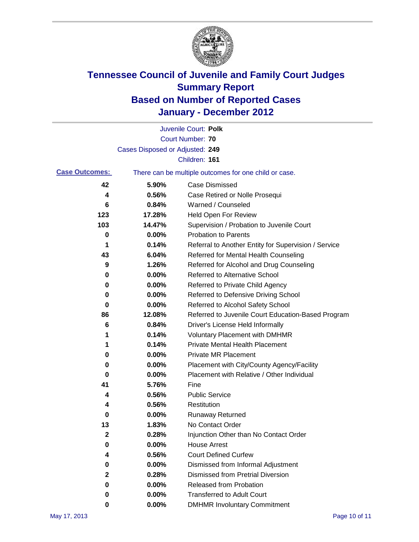

|                       |                                 | Juvenile Court: Polk                                  |
|-----------------------|---------------------------------|-------------------------------------------------------|
|                       |                                 | <b>Court Number: 70</b>                               |
|                       | Cases Disposed or Adjusted: 249 |                                                       |
|                       |                                 | Children: 161                                         |
| <b>Case Outcomes:</b> |                                 | There can be multiple outcomes for one child or case. |
| 42                    | 5.90%                           | <b>Case Dismissed</b>                                 |
| 4                     | 0.56%                           | Case Retired or Nolle Prosequi                        |
| 6                     | 0.84%                           | Warned / Counseled                                    |
| 123                   | 17.28%                          | Held Open For Review                                  |
| 103                   | 14.47%                          | Supervision / Probation to Juvenile Court             |
| 0                     | 0.00%                           | <b>Probation to Parents</b>                           |
| 1                     | 0.14%                           | Referral to Another Entity for Supervision / Service  |
| 43                    | 6.04%                           | Referred for Mental Health Counseling                 |
| 9                     | 1.26%                           | Referred for Alcohol and Drug Counseling              |
| 0                     | 0.00%                           | <b>Referred to Alternative School</b>                 |
| 0                     | 0.00%                           | Referred to Private Child Agency                      |
| 0                     | 0.00%                           | Referred to Defensive Driving School                  |
| 0                     | 0.00%                           | Referred to Alcohol Safety School                     |
| 86                    | 12.08%                          | Referred to Juvenile Court Education-Based Program    |
| 6                     | 0.84%                           | Driver's License Held Informally                      |
| 1                     | 0.14%                           | <b>Voluntary Placement with DMHMR</b>                 |
| 1                     | 0.14%                           | <b>Private Mental Health Placement</b>                |
| 0                     | 0.00%                           | <b>Private MR Placement</b>                           |
| 0                     | 0.00%                           | Placement with City/County Agency/Facility            |
| 0                     | 0.00%                           | Placement with Relative / Other Individual            |
| 41                    | 5.76%                           | Fine                                                  |
| 4                     | 0.56%                           | <b>Public Service</b>                                 |
| 4                     | 0.56%                           | Restitution                                           |
| 0                     | 0.00%                           | <b>Runaway Returned</b>                               |
| 13                    | 1.83%                           | No Contact Order                                      |
| 2                     | 0.28%                           | Injunction Other than No Contact Order                |
| 0                     | 0.00%                           | <b>House Arrest</b>                                   |
| 4                     | 0.56%                           | <b>Court Defined Curfew</b>                           |
| 0                     | 0.00%                           | Dismissed from Informal Adjustment                    |
| $\mathbf 2$           | 0.28%                           | <b>Dismissed from Pretrial Diversion</b>              |
| 0                     | 0.00%                           | Released from Probation                               |
| 0                     | 0.00%                           | <b>Transferred to Adult Court</b>                     |
| 0                     | $0.00\%$                        | <b>DMHMR Involuntary Commitment</b>                   |